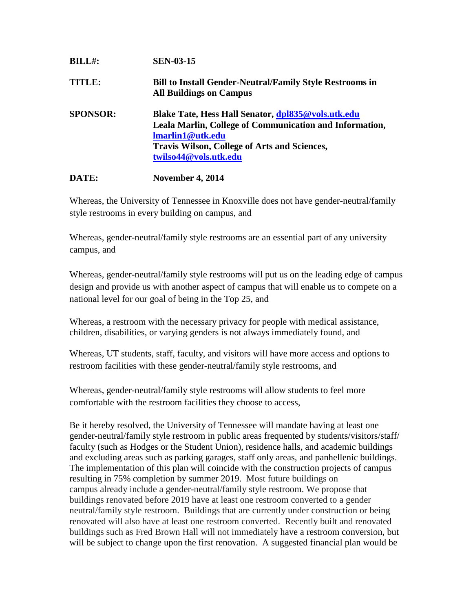| <b>BILL#:</b>   | <b>SEN-03-15</b>                                                                                                                                                                                                         |
|-----------------|--------------------------------------------------------------------------------------------------------------------------------------------------------------------------------------------------------------------------|
| TITLE:          | <b>Bill to Install Gender-Neutral/Family Style Restrooms in</b><br><b>All Buildings on Campus</b>                                                                                                                        |
| <b>SPONSOR:</b> | Blake Tate, Hess Hall Senator, dpl835@vols.utk.edu<br>Leala Marlin, College of Communication and Information,<br><b>Imarlin1@utk.edu</b><br><b>Travis Wilson, College of Arts and Sciences,</b><br>twilso44@vols.utk.edu |

## **DATE: November 4, 2014**

Whereas, the University of Tennessee in Knoxville does not have gender-neutral/family style restrooms in every building on campus, and

Whereas, gender-neutral/family style restrooms are an essential part of any university campus, and

Whereas, gender-neutral/family style restrooms will put us on the leading edge of campus design and provide us with another aspect of campus that will enable us to compete on a national level for our goal of being in the Top 25, and

Whereas, a restroom with the necessary privacy for people with medical assistance, children, disabilities, or varying genders is not always immediately found, and

Whereas, UT students, staff, faculty, and visitors will have more access and options to restroom facilities with these gender-neutral/family style restrooms, and

Whereas, gender-neutral/family style restrooms will allow students to feel more comfortable with the restroom facilities they choose to access,

Be it hereby resolved, the University of Tennessee will mandate having at least one gender-neutral/family style restroom in public areas frequented by students/visitors/staff/ faculty (such as Hodges or the Student Union), residence halls, and academic buildings and excluding areas such as parking garages, staff only areas, and panhellenic buildings. The implementation of this plan will coincide with the construction projects of campus resulting in 75% completion by summer 2019. Most future buildings on campus already include a gender-neutral/family style restroom. We propose that buildings renovated before 2019 have at least one restroom converted to a gender neutral/family style restroom. Buildings that are currently under construction or being renovated will also have at least one restroom converted. Recently built and renovated buildings such as Fred Brown Hall will not immediately have a restroom conversion, but will be subject to change upon the first renovation. A suggested financial plan would be